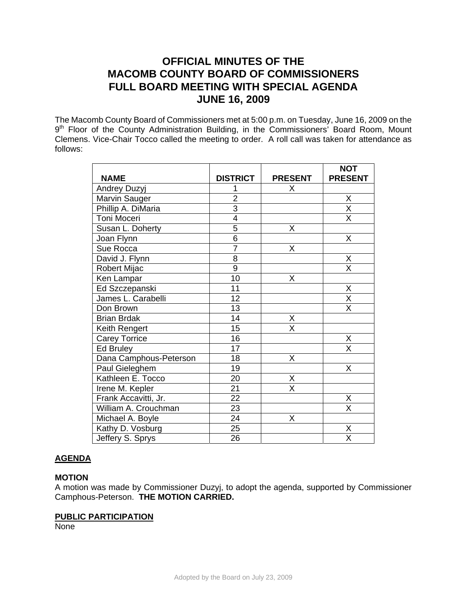## **OFFICIAL MINUTES OF THE MACOMB COUNTY BOARD OF COMMISSIONERS FULL BOARD MEETING WITH SPECIAL AGENDA JUNE 16, 2009**

The Macomb County Board of Commissioners met at 5:00 p.m. on Tuesday, June 16, 2009 on the 9<sup>th</sup> Floor of the County Administration Building, in the Commissioners' Board Room, Mount Clemens. Vice-Chair Tocco called the meeting to order. A roll call was taken for attendance as follows:

|                        |                 |                | <b>NOT</b>              |
|------------------------|-----------------|----------------|-------------------------|
| <b>NAME</b>            | <b>DISTRICT</b> | <b>PRESENT</b> | <b>PRESENT</b>          |
| Andrey Duzyj           |                 | X              |                         |
| Marvin Sauger          | $\overline{c}$  |                | Χ                       |
| Phillip A. DiMaria     | $\overline{3}$  |                | $\overline{\mathsf{X}}$ |
| Toni Moceri            | $\overline{4}$  |                | $\overline{\sf x}$      |
| Susan L. Doherty       | 5               | Χ              |                         |
| Joan Flynn             | $\overline{6}$  |                | X                       |
| Sue Rocca              | $\overline{7}$  | Χ              |                         |
| David J. Flynn         | $\overline{8}$  |                | $\overline{\mathsf{X}}$ |
| Robert Mijac           | 9               |                | Χ                       |
| Ken Lampar             | 10              | Χ              |                         |
| Ed Szczepanski         | 11              |                | Χ                       |
| James L. Carabelli     | 12              |                | X                       |
| Don Brown              | 13              |                | X                       |
| <b>Brian Brdak</b>     | 14              | Χ              |                         |
| Keith Rengert          | 15              | X              |                         |
| <b>Carey Torrice</b>   | 16              |                | $\frac{X}{X}$           |
| Ed Bruley              | 17              |                |                         |
| Dana Camphous-Peterson | 18              | Χ              |                         |
| Paul Gieleghem         | 19              |                | X                       |
| Kathleen E. Tocco      | 20              | Χ              |                         |
| Irene M. Kepler        | 21              | X              |                         |
| Frank Accavitti, Jr.   | $\overline{22}$ |                | Χ                       |
| William A. Crouchman   | 23              |                | $\overline{\mathsf{x}}$ |
| Michael A. Boyle       | $\overline{24}$ | Χ              |                         |
| Kathy D. Vosburg       | $\overline{25}$ |                | $\overline{\mathsf{X}}$ |
| Jeffery S. Sprys       | 26              |                | $\overline{\mathsf{x}}$ |

#### **AGENDA**

#### **MOTION**

A motion was made by Commissioner Duzyj, to adopt the agenda, supported by Commissioner Camphous-Peterson. **THE MOTION CARRIED.** 

#### **PUBLIC PARTICIPATION**

None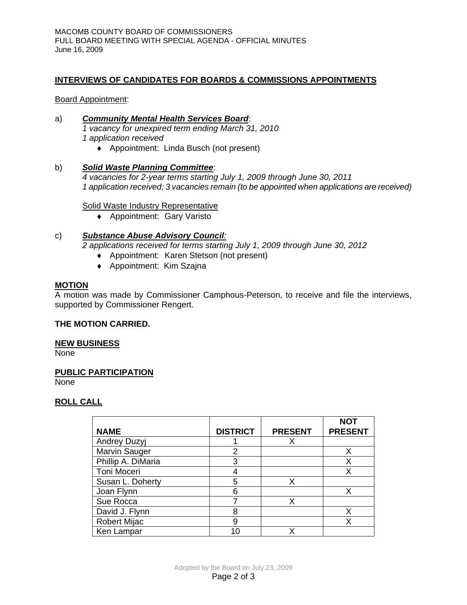#### **INTERVIEWS OF CANDIDATES FOR BOARDS & COMMISSIONS APPOINTMENTS**

Board Appointment:

# a)*Community Mental Health Services Board*:

*1 vacancy for unexpired term ending March 31, 2010 1 application received* 

♦ Appointment: Linda Busch (not present)

## b)*Solid Waste Planning Committee*:

*4 vacancies for 2-year terms starting July 1, 2009 through June 30, 2011 1 application received; 3 vacancies remain (to be appointed when applications are received)* 

#### Solid Waste Industry Representative

♦ Appointment: Gary Varisto

#### c) *Substance Abuse Advisory Council:*

*2 applications received for terms starting July 1, 2009 through June 30, 2012* 

- ♦ Appointment: Karen Stetson (not present)
- ♦ Appointment: Kim Szajna

#### **MOTION**

A motion was made by Commissioner Camphous-Peterson, to receive and file the interviews, supported by Commissioner Rengert.

#### **THE MOTION CARRIED.**

#### **NEW BUSINESS**

None

#### **PUBLIC PARTICIPATION**

None

#### **ROLL CALL**

|                     |                 |                | <b>NOT</b>     |
|---------------------|-----------------|----------------|----------------|
| <b>NAME</b>         | <b>DISTRICT</b> | <b>PRESENT</b> | <b>PRESENT</b> |
| <b>Andrey Duzyj</b> |                 |                |                |
| Marvin Sauger       | 2               |                | x              |
| Phillip A. DiMaria  | 3               |                | х              |
| Toni Moceri         |                 |                | x              |
| Susan L. Doherty    | 5               | x              |                |
| Joan Flynn          | 6               |                | x              |
| Sue Rocca           |                 | x              |                |
| David J. Flynn      | 8               |                | х              |
| <b>Robert Mijac</b> | 9               |                | x              |
| Ken Lampar          | 10              | x              |                |